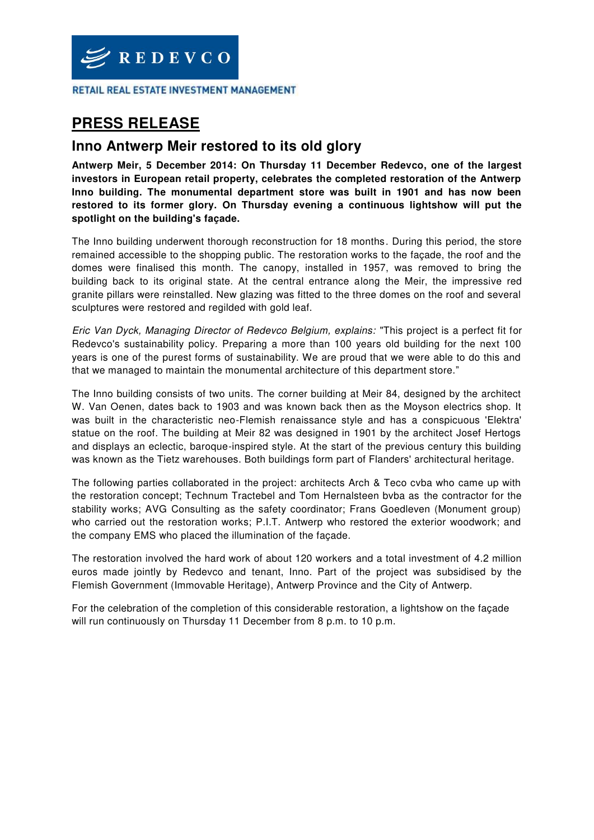

RETAIL REAL ESTATE INVESTMENT MANAGEMENT

# **PRESS RELEASE**

# **Inno Antwerp Meir restored to its old glory**

**Antwerp Meir, 5 December 2014: On Thursday 11 December Redevco, one of the largest investors in European retail property, celebrates the completed restoration of the Antwerp Inno building. The monumental department store was built in 1901 and has now been restored to its former glory. On Thursday evening a continuous lightshow will put the spotlight on the building's façade.** 

The Inno building underwent thorough reconstruction for 18 months. During this period, the store remained accessible to the shopping public. The restoration works to the façade, the roof and the domes were finalised this month. The canopy, installed in 1957, was removed to bring the building back to its original state. At the central entrance along the Meir, the impressive red granite pillars were reinstalled. New glazing was fitted to the three domes on the roof and several sculptures were restored and regilded with gold leaf.

*Eric Van Dyck, Managing Director of Redevco Belgium, explains:* "This project is a perfect fit for Redevco's sustainability policy. Preparing a more than 100 years old building for the next 100 years is one of the purest forms of sustainability. We are proud that we were able to do this and that we managed to maintain the monumental architecture of this department store."

The Inno building consists of two units. The corner building at Meir 84, designed by the architect W. Van Oenen, dates back to 1903 and was known back then as the Moyson electrics shop. It was built in the characteristic neo-Flemish renaissance style and has a conspicuous 'Elektra' statue on the roof. The building at Meir 82 was designed in 1901 by the architect Josef Hertogs and displays an eclectic, baroque-inspired style. At the start of the previous century this building was known as the Tietz warehouses. Both buildings form part of Flanders' architectural heritage.

The following parties collaborated in the project: architects Arch & Teco cvba who came up with the restoration concept; Technum Tractebel and Tom Hernalsteen bvba as the contractor for the stability works; AVG Consulting as the safety coordinator; Frans Goedleven (Monument group) who carried out the restoration works; P.I.T. Antwerp who restored the exterior woodwork; and the company EMS who placed the illumination of the façade.

The restoration involved the hard work of about 120 workers and a total investment of 4.2 million euros made jointly by Redevco and tenant, Inno. Part of the project was subsidised by the Flemish Government (Immovable Heritage), Antwerp Province and the City of Antwerp.

For the celebration of the completion of this considerable restoration, a lightshow on the façade will run continuously on Thursday 11 December from 8 p.m. to 10 p.m.